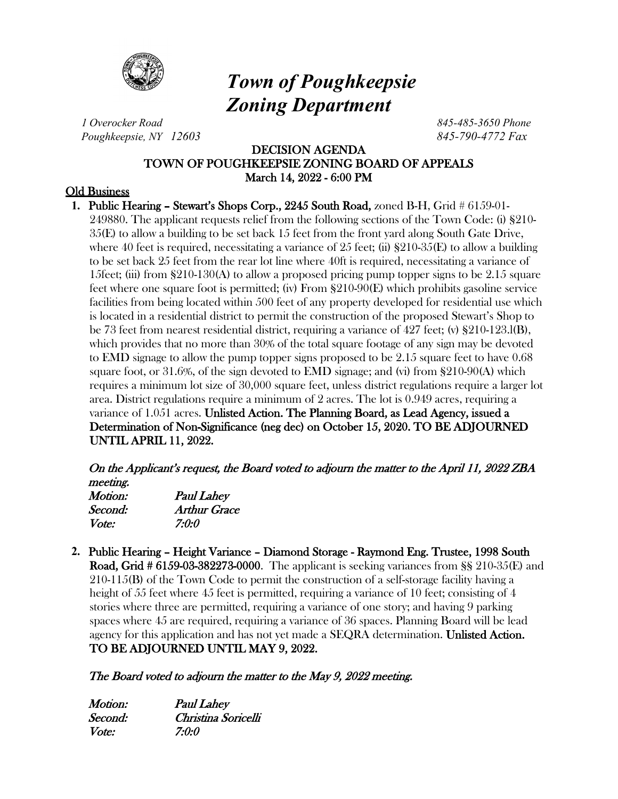

# *Town of Poughkeepsie Zoning Department*

*1 Overocker Road 845-485-3650 Phone Poughkeepsie, NY 12603 845-790-4772 Fax*

# DECISION AGENDA TOWN OF POUGHKEEPSIE ZONING BOARD OF APPEALS March 14, 2022 - 6:00 PM

## Old Business

**1.** Public Hearing – Stewart's Shops Corp., 2245 South Road, zoned B-H, Grid # 6159-01- 249880. The applicant requests relief from the following sections of the Town Code: (i) §210- 35(E) to allow a building to be set back 15 feet from the front yard along South Gate Drive, where 40 feet is required, necessitating a variance of 25 feet; (ii)  $\S210-35(E)$  to allow a building to be set back 25 feet from the rear lot line where 40ft is required, necessitating a variance of 15feet; (iii) from  $\S210-130(A)$  to allow a proposed pricing pump topper signs to be 2.15 square feet where one square foot is permitted; (iv) From §210-90(E) which prohibits gasoline service facilities from being located within 500 feet of any property developed for residential use which is located in a residential district to permit the construction of the proposed Stewart's Shop to be 73 feet from nearest residential district, requiring a variance of 427 feet; (v) §210-123.l(B), which provides that no more than 30% of the total square footage of any sign may be devoted to EMD signage to allow the pump topper signs proposed to be 2.15 square feet to have 0.68 square foot, or 31.6%, of the sign devoted to EMD signage; and (vi) from §210-90(A) which requires a minimum lot size of 30,000 square feet, unless district regulations require a larger lot area. District regulations require a minimum of 2 acres. The lot is 0.949 acres, requiring a variance of 1.051 acres. Unlisted Action. The Planning Board, as Lead Agency, issued a Determination of Non-Significance (neg dec) on October 15, 2020. TO BE ADJOURNED UNTIL APRIL 11, 2022.

On the Applicant's request, the Board voted to adjourn the matter to the April 11, 2022 ZBA meeting.

| Motion: | <b>Paul Lahey</b> |
|---------|-------------------|
| Second: | Arthur Grace      |
| Vote:   | 7:0:0             |

**2.** Public Hearing – Height Variance – Diamond Storage - Raymond Eng. Trustee, 1998 South Road, Grid # 6159-03-382273-0000. The applicant is seeking variances from §§ 210-35(E) and 210-115(B) of the Town Code to permit the construction of a self-storage facility having a height of 55 feet where 45 feet is permitted, requiring a variance of 10 feet; consisting of 4 stories where three are permitted, requiring a variance of one story; and having 9 parking spaces where 45 are required, requiring a variance of 36 spaces. Planning Board will be lead agency for this application and has not yet made a SEQRA determination. Unlisted Action. TO BE ADJOURNED UNTIL MAY 9, 2022.

## The Board voted to adjourn the matter to the May 9, 2022 meeting.

| Motion:      | <b>Paul Lahey</b>   |
|--------------|---------------------|
| Second:      | Christina Soricelli |
| <i>Vote:</i> | 7:0:0               |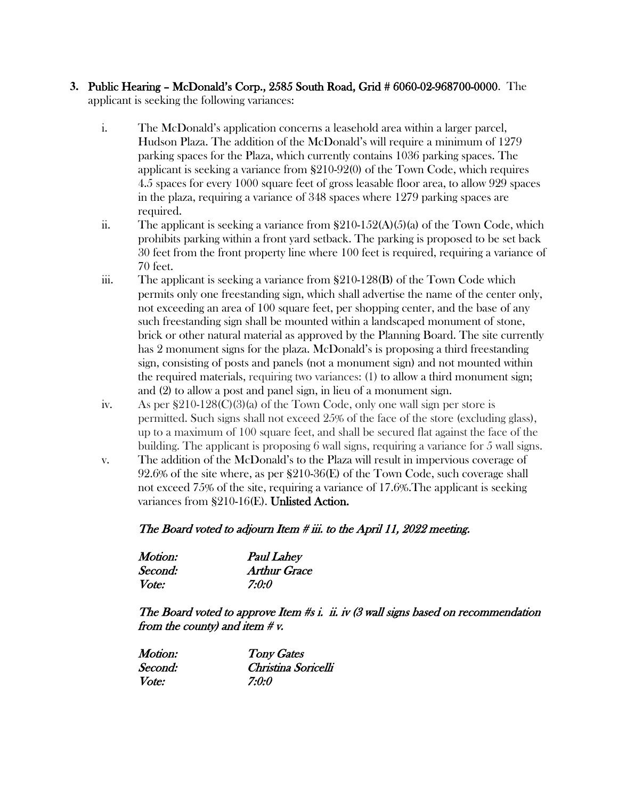#### **3.** Public Hearing – McDonald's Corp., 2585 South Road, Grid # 6060-02-968700-0000. The applicant is seeking the following variances:

- i. The McDonald's application concerns a leasehold area within a larger parcel, Hudson Plaza. The addition of the McDonald's will require a minimum of 1279 parking spaces for the Plaza, which currently contains 1036 parking spaces. The applicant is seeking a variance from §210-92(0) of the Town Code, which requires 4.5 spaces for every 1000 square feet of gross leasable floor area, to allow 929 spaces in the plaza, requiring a variance of 348 spaces where 1279 parking spaces are required.
- ii. The applicant is seeking a variance from  $\S210-152(A)(5)(a)$  of the Town Code, which prohibits parking within a front yard setback. The parking is proposed to be set back 30 feet from the front property line where 100 feet is required, requiring a variance of 70 feet.
- iii. The applicant is seeking a variance from  $\S210-128(B)$  of the Town Code which permits only one freestanding sign, which shall advertise the name of the center only, not exceeding an area of 100 square feet, per shopping center, and the base of any such freestanding sign shall be mounted within a landscaped monument of stone, brick or other natural material as approved by the Planning Board. The site currently has 2 monument signs for the plaza. McDonald's is proposing a third freestanding sign, consisting of posts and panels (not a monument sign) and not mounted within the required materials, requiring two variances: (1) to allow a third monument sign; and (2) to allow a post and panel sign, in lieu of a monument sign.
- iv. As per  $$210-128(C)(3)$  of the Town Code, only one wall sign per store is permitted. Such signs shall not exceed 25% of the face of the store (excluding glass), up to a maximum of 100 square feet, and shall be secured flat against the face of the building. The applicant is proposing 6 wall signs, requiring a variance for 5 wall signs.
- v. The addition of the McDonald's to the Plaza will result in impervious coverage of 92.6% of the site where, as per §210-36(E) of the Town Code, such coverage shall not exceed 75% of the site, requiring a variance of 17.6%.The applicant is seeking variances from §210-16(E). Unlisted Action.

## The Board voted to adjourn Item # iii. to the April 11, 2022 meeting.

| Motion:      | <b>Paul Lahey</b>   |
|--------------|---------------------|
| Second:      | <b>Arthur Grace</b> |
| <i>Vote:</i> | 7:0:0               |

The Board voted to approve Item #s i. ii. iv (3 wall signs based on recommendation from the county) and item  $\# v$ .

| Motion:      | <b>Tony Gates</b>   |
|--------------|---------------------|
| Second:      | Christina Soricelli |
| <i>Vote:</i> | 7:0:0               |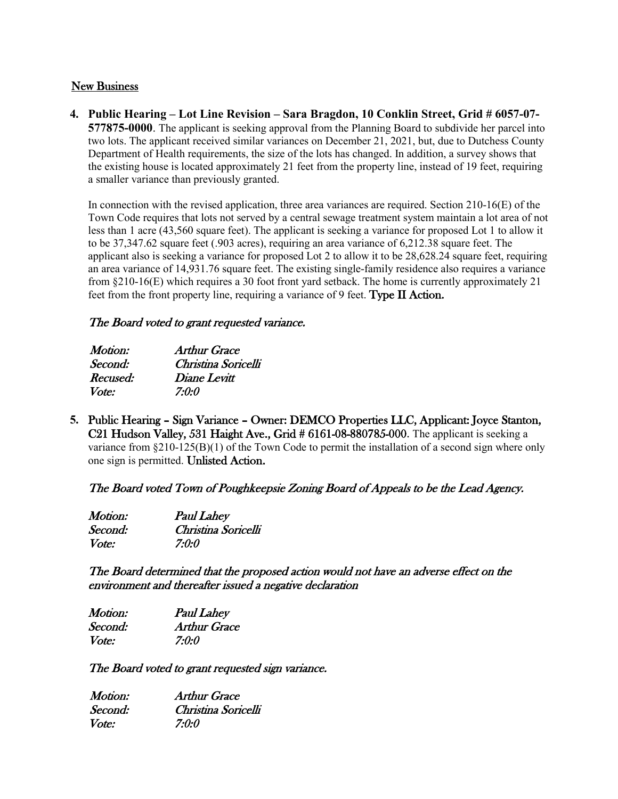#### New Business

**4. Public Hearing – Lot Line Revision – Sara Bragdon, 10 Conklin Street, Grid # 6057-07- 577875-0000**. The applicant is seeking approval from the Planning Board to subdivide her parcel into two lots. The applicant received similar variances on December 21, 2021, but, due to Dutchess County Department of Health requirements, the size of the lots has changed. In addition, a survey shows that the existing house is located approximately 21 feet from the property line, instead of 19 feet, requiring a smaller variance than previously granted.

In connection with the revised application, three area variances are required. Section  $210\n-16(E)$  of the Town Code requires that lots not served by a central sewage treatment system maintain a lot area of not less than 1 acre (43,560 square feet). The applicant is seeking a variance for proposed Lot 1 to allow it to be 37,347.62 square feet (.903 acres), requiring an area variance of 6,212.38 square feet. The applicant also is seeking a variance for proposed Lot 2 to allow it to be 28,628.24 square feet, requiring an area variance of 14,931.76 square feet. The existing single-family residence also requires a variance from §210-16(E) which requires a 30 foot front yard setback. The home is currently approximately 21 feet from the front property line, requiring a variance of 9 feet. Type II Action.

## The Board voted to grant requested variance.

| <i>Motion:</i> | Arthur Grace        |
|----------------|---------------------|
| Second:        | Christina Soricelli |
| Recused:       | Diane Levitt        |
| <i>Vote:</i>   | 7:0:0               |

**5.** Public Hearing – Sign Variance – Owner: DEMCO Properties LLC, Applicant: Joyce Stanton, C21 Hudson Valley, 531 Haight Ave., Grid # 6161-08-880785-000. The applicant is seeking a variance from §210-125(B)(1) of the Town Code to permit the installation of a second sign where only one sign is permitted. Unlisted Action.

## The Board voted Town of Poughkeepsie Zoning Board of Appeals to be the Lead Agency.

| Motion:      | <b>Paul Lahey</b>   |
|--------------|---------------------|
| Second:      | Christina Soricelli |
| <i>Vote:</i> | 7:0:0               |

The Board determined that the proposed action would not have an adverse effect on the environment and thereafter issued a negative declaration

| Motion: | <b>Paul Lahey</b>   |
|---------|---------------------|
| Second: | <b>Arthur Grace</b> |
| Vote:   | 7:0:0               |

The Board voted to grant requested sign variance.

| Motion:      | Arthur Grace        |
|--------------|---------------------|
| Second:      | Christina Soricelli |
| <i>Vote:</i> | 7:0:0               |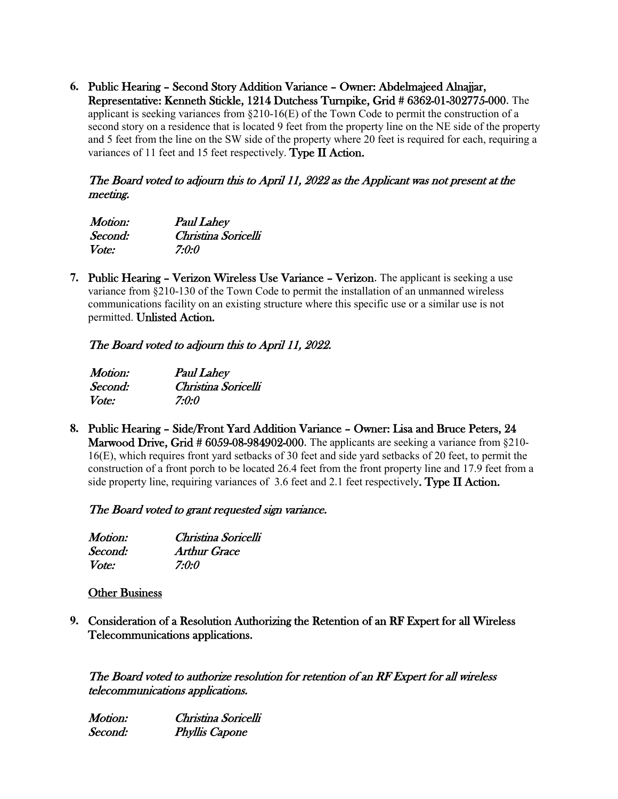**6.** Public Hearing – Second Story Addition Variance – Owner: Abdelmajeed Alnajjar, Representative: Kenneth Stickle, 1214 Dutchess Turnpike, Grid # 6362-01-302775-000. The applicant is seeking variances from  $\S210-16(E)$  of the Town Code to permit the construction of a second story on a residence that is located 9 feet from the property line on the NE side of the property and 5 feet from the line on the SW side of the property where 20 feet is required for each, requiring a variances of 11 feet and 15 feet respectively. Type II Action.

#### The Board voted to adjourn this to April 11, 2022 as the Applicant was not present at the meeting.

| <i>Motion:</i> | <b>Paul Lahey</b>   |
|----------------|---------------------|
| Second:        | Christina Soricelli |
| <i>Vote:</i>   | 7:0:0               |

**7.** Public Hearing – Verizon Wireless Use Variance – Verizon. The applicant is seeking a use variance from §210-130 of the Town Code to permit the installation of an unmanned wireless communications facility on an existing structure where this specific use or a similar use is not permitted. Unlisted Action.

## The Board voted to adjourn this to April 11, 2022.

| Motion:      | <b>Paul Lahey</b>   |
|--------------|---------------------|
| Second:      | Christina Soricelli |
| <i>Vote:</i> | 7:0:0               |

**8.** Public Hearing – Side/Front Yard Addition Variance – Owner: Lisa and Bruce Peters, 24 Marwood Drive, Grid # 6059-08-984902-000. The applicants are seeking a variance from §210-16(E), which requires front yard setbacks of 30 feet and side yard setbacks of 20 feet, to permit the construction of a front porch to be located 26.4 feet from the front property line and 17.9 feet from a side property line, requiring variances of 3.6 feet and 2.1 feet respectively. Type II Action.

## The Board voted to grant requested sign variance.

| Motion:      | Christina Soricelli |
|--------------|---------------------|
| Second:      | Arthur Grace        |
| <i>Vote:</i> | <i>7:0:0</i>        |

#### Other Business

**9.** Consideration of a Resolution Authorizing the Retention of an RF Expert for all Wireless Telecommunications applications.

The Board voted to authorize resolution for retention of an RF Expert for all wireless telecommunications applications.

Motion: Christina Soricelli Second: Phyllis Capone